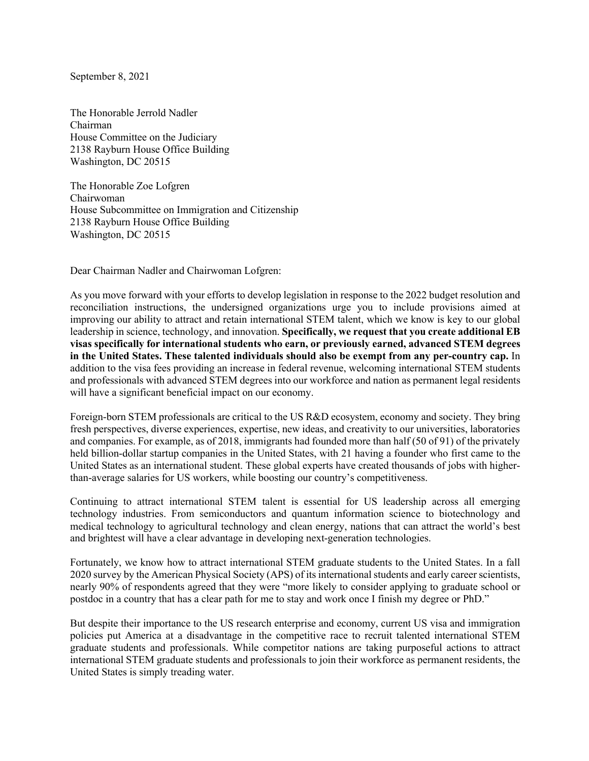September 8, 2021

The Honorable Jerrold Nadler Chairman House Committee on the Judiciary 2138 Rayburn House Office Building Washington, DC 20515

The Honorable Zoe Lofgren Chairwoman House Subcommittee on Immigration and Citizenship 2138 Rayburn House Office Building Washington, DC 20515

Dear Chairman Nadler and Chairwoman Lofgren:

As you move forward with your efforts to develop legislation in response to the 2022 budget resolution and reconciliation instructions, the undersigned organizations urge you to include provisions aimed at improving our ability to attract and retain international STEM talent, which we know is key to our global leadership in science, technology, and innovation. **Specifically, we request that you create additional EB visas specifically for international students who earn, or previously earned, advanced STEM degrees in the United States. These talented individuals should also be exempt from any per-country cap.** In addition to the visa fees providing an increase in federal revenue, welcoming international STEM students and professionals with advanced STEM degrees into our workforce and nation as permanent legal residents will have a significant beneficial impact on our economy.

Foreign-born STEM professionals are critical to the US R&D ecosystem, economy and society. They bring fresh perspectives, diverse experiences, expertise, new ideas, and creativity to our universities, laboratories and companies. For example, as of 2018, immigrants had founded more than half (50 of 91) of the privately held billion-dollar startup companies in the United States, with 21 having a founder who first came to the United States as an international student. These global experts have created thousands of jobs with higherthan-average salaries for US workers, while boosting our country's competitiveness.

Continuing to attract international STEM talent is essential for US leadership across all emerging technology industries. From semiconductors and quantum information science to biotechnology and medical technology to agricultural technology and clean energy, nations that can attract the world's best and brightest will have a clear advantage in developing next-generation technologies.

Fortunately, we know how to attract international STEM graduate students to the United States. In a fall 2020 survey by the American Physical Society (APS) of its international students and early career scientists, nearly 90% of respondents agreed that they were "more likely to consider applying to graduate school or postdoc in a country that has a clear path for me to stay and work once I finish my degree or PhD."

But despite their importance to the US research enterprise and economy, current US visa and immigration policies put America at a disadvantage in the competitive race to recruit talented international STEM graduate students and professionals. While competitor nations are taking purposeful actions to attract international STEM graduate students and professionals to join their workforce as permanent residents, the United States is simply treading water.